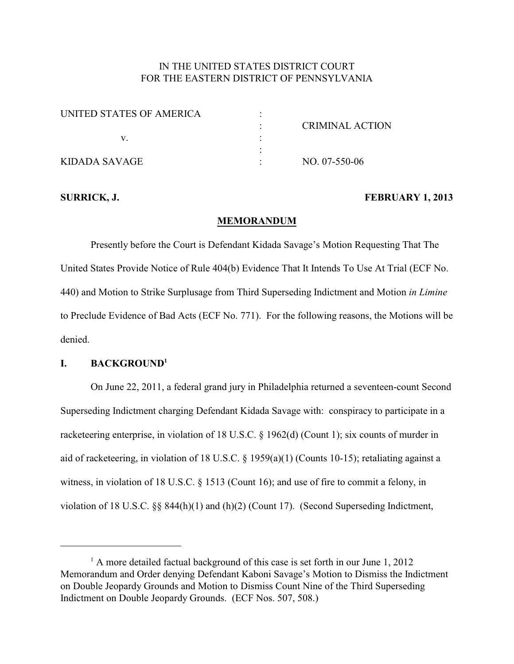# IN THE UNITED STATES DISTRICT COURT FOR THE EASTERN DISTRICT OF PENNSYLVANIA

| UNITED STATES OF AMERICA |                 |
|--------------------------|-----------------|
|                          | CRIMINAL ACTION |
|                          |                 |
|                          |                 |
| KIDADA SAVAGE            | NO. 07-550-06   |

#### **SURRICK, J. FEBRUARY 1, 2013**

#### **MEMORANDUM**

Presently before the Court is Defendant Kidada Savage's Motion Requesting That The United States Provide Notice of Rule 404(b) Evidence That It Intends To Use At Trial (ECF No. 440) and Motion to Strike Surplusage from Third Superseding Indictment and Motion *in Limine* to Preclude Evidence of Bad Acts (ECF No. 771). For the following reasons, the Motions will be denied.

#### **I. BACKGROUND<sup>1</sup>**

On June 22, 2011, a federal grand jury in Philadelphia returned a seventeen-count Second Superseding Indictment charging Defendant Kidada Savage with: conspiracy to participate in a racketeering enterprise, in violation of 18 U.S.C. § 1962(d) (Count 1); six counts of murder in aid of racketeering, in violation of 18 U.S.C. § 1959(a)(1) (Counts 10-15); retaliating against a witness, in violation of 18 U.S.C. § 1513 (Count 16); and use of fire to commit a felony, in violation of 18 U.S.C. §§ 844(h)(1) and (h)(2) (Count 17). (Second Superseding Indictment,

 $<sup>1</sup>$  A more detailed factual background of this case is set forth in our June 1, 2012</sup> Memorandum and Order denying Defendant Kaboni Savage's Motion to Dismiss the Indictment on Double Jeopardy Grounds and Motion to Dismiss Count Nine of the Third Superseding Indictment on Double Jeopardy Grounds. (ECF Nos. 507, 508.)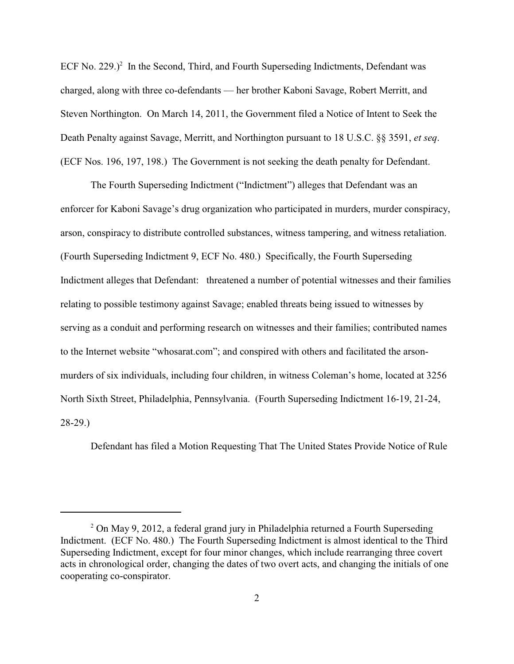ECF No. 229.)<sup>2</sup> In the Second, Third, and Fourth Superseding Indictments, Defendant was charged, along with three co-defendants — her brother Kaboni Savage, Robert Merritt, and Steven Northington. On March 14, 2011, the Government filed a Notice of Intent to Seek the Death Penalty against Savage, Merritt, and Northington pursuant to 18 U.S.C. §§ 3591, *et seq*. (ECF Nos. 196, 197, 198.) The Government is not seeking the death penalty for Defendant.

The Fourth Superseding Indictment ("Indictment") alleges that Defendant was an enforcer for Kaboni Savage's drug organization who participated in murders, murder conspiracy, arson, conspiracy to distribute controlled substances, witness tampering, and witness retaliation. (Fourth Superseding Indictment 9, ECF No. 480.) Specifically, the Fourth Superseding Indictment alleges that Defendant: threatened a number of potential witnesses and their families relating to possible testimony against Savage; enabled threats being issued to witnesses by serving as a conduit and performing research on witnesses and their families; contributed names to the Internet website "whosarat.com"; and conspired with others and facilitated the arsonmurders of six individuals, including four children, in witness Coleman's home, located at 3256 North Sixth Street, Philadelphia, Pennsylvania. (Fourth Superseding Indictment 16-19, 21-24, 28-29.)

Defendant has filed a Motion Requesting That The United States Provide Notice of Rule

 $2$  On May 9, 2012, a federal grand jury in Philadelphia returned a Fourth Superseding Indictment. (ECF No. 480.) The Fourth Superseding Indictment is almost identical to the Third Superseding Indictment, except for four minor changes, which include rearranging three covert acts in chronological order, changing the dates of two overt acts, and changing the initials of one cooperating co-conspirator.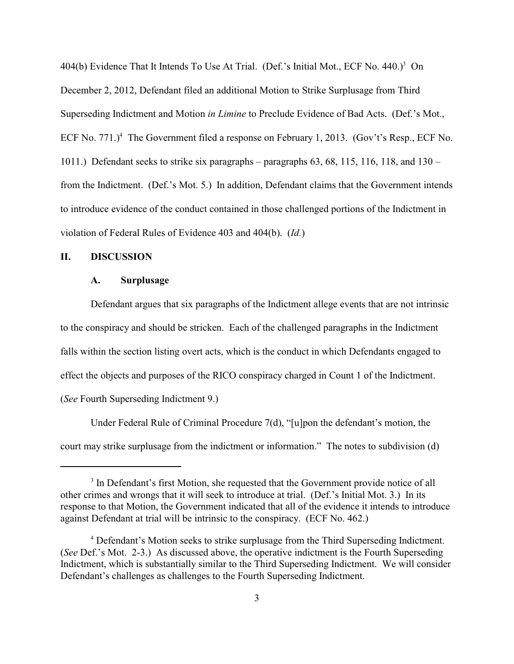404(b) Evidence That It Intends To Use At Trial. (Def.'s Initial Mot., ECF No. 440.)<sup>3</sup> On December 2, 2012, Defendant filed an additional Motion to Strike Surplusage from Third Superseding Indictment and Motion *in Limine* to Preclude Evidence of Bad Acts. (Def.'s Mot., ECF No. 771.)<sup>4</sup> The Government filed a response on February 1, 2013. (Gov't's Resp., ECF No. 1011.) Defendant seeks to strike six paragraphs – paragraphs  $63, 68, 115, 116, 118,$  and  $130$ from the Indictment. (Def.'s Mot. 5.) In addition, Defendant claims that the Government intends to introduce evidence of the conduct contained in those challenged portions of the Indictment in violation of Federal Rules of Evidence 403 and 404(b). (*Id.*)

# **II. DISCUSSION**

#### **A. Surplusage**

Defendant argues that six paragraphs of the Indictment allege events that are not intrinsic to the conspiracy and should be stricken. Each of the challenged paragraphs in the Indictment falls within the section listing overt acts, which is the conduct in which Defendants engaged to effect the objects and purposes of the RICO conspiracy charged in Count 1 of the Indictment. (*See* Fourth Superseding Indictment 9.)

Under Federal Rule of Criminal Procedure 7(d), "[u]pon the defendant's motion, the court may strike surplusage from the indictment or information." The notes to subdivision (d)

<sup>&</sup>lt;sup>3</sup> In Defendant's first Motion, she requested that the Government provide notice of all other crimes and wrongs that it will seek to introduce at trial. (Def.'s Initial Mot. 3.) In its response to that Motion, the Government indicated that all of the evidence it intends to introduce against Defendant at trial will be intrinsic to the conspiracy. (ECF No. 462.)

<sup>&</sup>lt;sup>4</sup> Defendant's Motion seeks to strike surplusage from the Third Superseding Indictment. (*See* Def.'s Mot. 2-3.) As discussed above, the operative indictment is the Fourth Superseding Indictment, which is substantially similar to the Third Superseding Indictment. We will consider Defendant's challenges as challenges to the Fourth Superseding Indictment.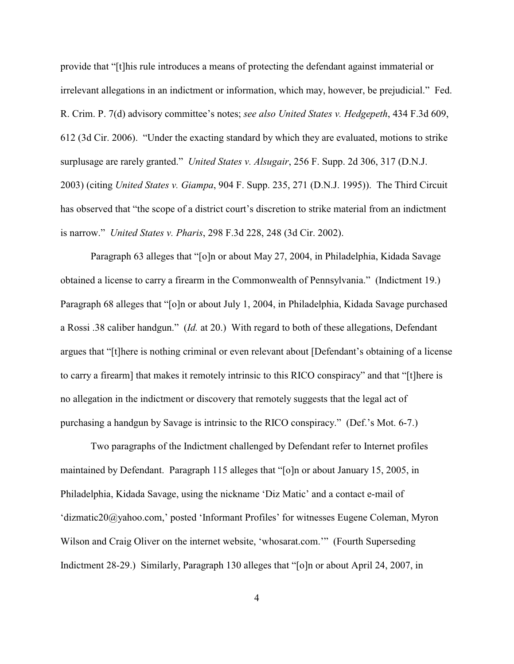provide that "[t]his rule introduces a means of protecting the defendant against immaterial or irrelevant allegations in an indictment or information, which may, however, be prejudicial." Fed. R. Crim. P. 7(d) advisory committee's notes; *see also United States v. Hedgepeth*, 434 F.3d 609, 612 (3d Cir. 2006). "Under the exacting standard by which they are evaluated, motions to strike surplusage are rarely granted." *United States v. Alsugair*, 256 F. Supp. 2d 306, 317 (D.N.J. 2003) (citing *United States v. Giampa*, 904 F. Supp. 235, 271 (D.N.J. 1995)). The Third Circuit has observed that "the scope of a district court's discretion to strike material from an indictment is narrow." *United States v. Pharis*, 298 F.3d 228, 248 (3d Cir. 2002).

Paragraph 63 alleges that "[o]n or about May 27, 2004, in Philadelphia, Kidada Savage obtained a license to carry a firearm in the Commonwealth of Pennsylvania." (Indictment 19.) Paragraph 68 alleges that "[o]n or about July 1, 2004, in Philadelphia, Kidada Savage purchased a Rossi .38 caliber handgun." (*Id.* at 20.) With regard to both of these allegations, Defendant argues that "[t]here is nothing criminal or even relevant about [Defendant's obtaining of a license to carry a firearm] that makes it remotely intrinsic to this RICO conspiracy" and that "[t]here is no allegation in the indictment or discovery that remotely suggests that the legal act of purchasing a handgun by Savage is intrinsic to the RICO conspiracy." (Def.'s Mot. 6-7.)

Two paragraphs of the Indictment challenged by Defendant refer to Internet profiles maintained by Defendant. Paragraph 115 alleges that "[o]n or about January 15, 2005, in Philadelphia, Kidada Savage, using the nickname 'Diz Matic' and a contact e-mail of ['dizmatic20@yahoo.com,'](mailto:�dizmatic20@yahoo.comasda) posted 'Informant Profiles' for witnesses Eugene Coleman, Myron Wilson and Craig Oliver on the internet website, 'whosarat.com.'" (Fourth Superseding Indictment 28-29.) Similarly, Paragraph 130 alleges that "[o]n or about April 24, 2007, in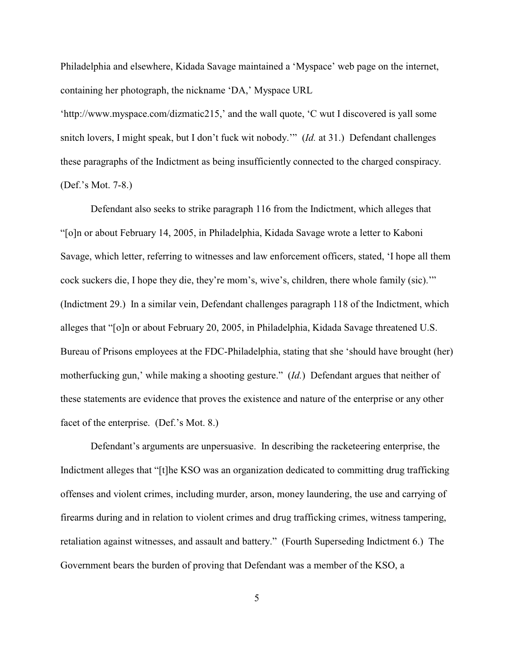Philadelphia and elsewhere, Kidada Savage maintained a 'Myspace' web page on the internet, containing her photograph, the nickname 'DA,' Myspace URL

'http://www.myspace.com/dizmatic215,' and the wall quote, 'C wut I discovered is yall some snitch lovers, I might speak, but I don't fuck wit nobody.'" (*Id.* at 31.) Defendant challenges these paragraphs of the Indictment as being insufficiently connected to the charged conspiracy. (Def.'s Mot. 7-8.)

Defendant also seeks to strike paragraph 116 from the Indictment, which alleges that "[o]n or about February 14, 2005, in Philadelphia, Kidada Savage wrote a letter to Kaboni Savage, which letter, referring to witnesses and law enforcement officers, stated, 'I hope all them cock suckers die, I hope they die, they're mom's, wive's, children, there whole family (sic).'" (Indictment 29.) In a similar vein, Defendant challenges paragraph 118 of the Indictment, which alleges that "[o]n or about February 20, 2005, in Philadelphia, Kidada Savage threatened U.S. Bureau of Prisons employees at the FDC-Philadelphia, stating that she 'should have brought (her) motherfucking gun,' while making a shooting gesture." (*Id.*) Defendant argues that neither of these statements are evidence that proves the existence and nature of the enterprise or any other facet of the enterprise. (Def.'s Mot. 8.)

Defendant's arguments are unpersuasive. In describing the racketeering enterprise, the Indictment alleges that "[t]he KSO was an organization dedicated to committing drug trafficking offenses and violent crimes, including murder, arson, money laundering, the use and carrying of firearms during and in relation to violent crimes and drug trafficking crimes, witness tampering, retaliation against witnesses, and assault and battery." (Fourth Superseding Indictment 6.) The Government bears the burden of proving that Defendant was a member of the KSO, a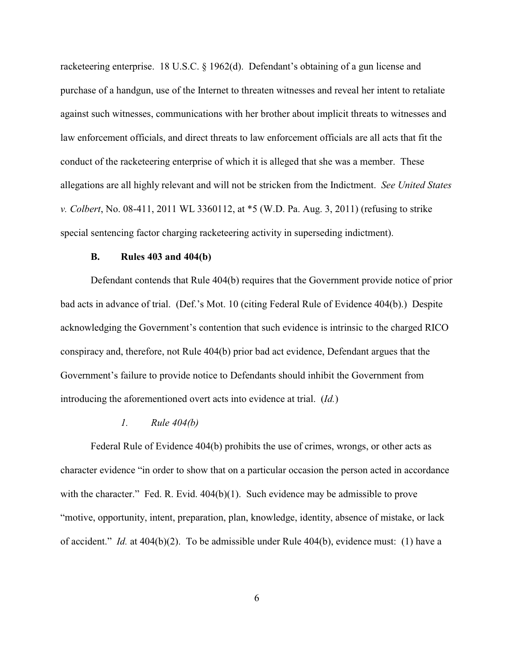racketeering enterprise. 18 U.S.C. § 1962(d). Defendant's obtaining of a gun license and purchase of a handgun, use of the Internet to threaten witnesses and reveal her intent to retaliate against such witnesses, communications with her brother about implicit threats to witnesses and law enforcement officials, and direct threats to law enforcement officials are all acts that fit the conduct of the racketeering enterprise of which it is alleged that she was a member. These allegations are all highly relevant and will not be stricken from the Indictment. *See United States v. Colbert*, No. 08-411, 2011 WL 3360112, at \*5 (W.D. Pa. Aug. 3, 2011) (refusing to strike special sentencing factor charging racketeering activity in superseding indictment).

### **B. Rules 403 and 404(b)**

Defendant contends that Rule 404(b) requires that the Government provide notice of prior bad acts in advance of trial. (Def.'s Mot. 10 (citing Federal Rule of Evidence 404(b).) Despite acknowledging the Government's contention that such evidence is intrinsic to the charged RICO conspiracy and, therefore, not Rule 404(b) prior bad act evidence, Defendant argues that the Government's failure to provide notice to Defendants should inhibit the Government from introducing the aforementioned overt acts into evidence at trial. (*Id.*)

#### *1. Rule 404(b)*

Federal Rule of Evidence 404(b) prohibits the use of crimes, wrongs, or other acts as character evidence "in order to show that on a particular occasion the person acted in accordance with the character." Fed. R. Evid.  $404(b)(1)$ . Such evidence may be admissible to prove "motive, opportunity, intent, preparation, plan, knowledge, identity, absence of mistake, or lack of accident." *Id.* at 404(b)(2). To be admissible under Rule 404(b), evidence must: (1) have a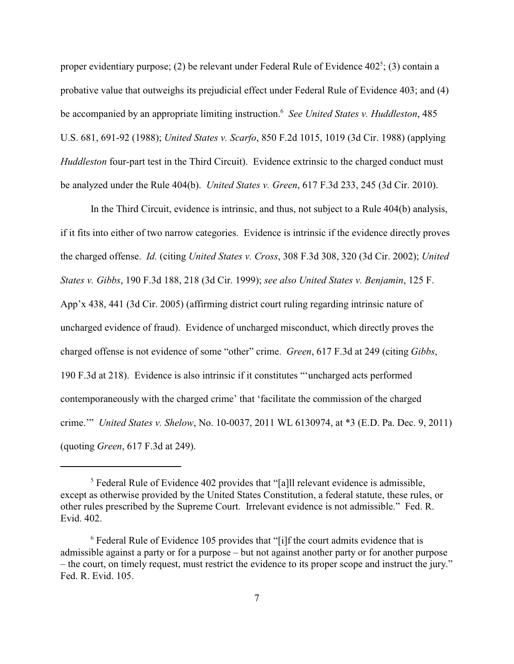proper evidentiary purpose; (2) be relevant under Federal Rule of Evidence  $402^5$ ; (3) contain a probative value that outweighs its prejudicial effect under Federal Rule of Evidence 403; and (4) be accompanied by an appropriate limiting instruction.<sup>6</sup> See United States v. Huddleston, 485 U.S. 681, 691-92 (1988); *United States v. Scarfo*, 850 F.2d 1015, 1019 (3d Cir. 1988) (applying *Huddleston* four-part test in the Third Circuit). Evidence extrinsic to the charged conduct must be analyzed under the Rule 404(b). *United States v. Green*, 617 F.3d 233, 245 (3d Cir. 2010).

In the Third Circuit, evidence is intrinsic, and thus, not subject to a Rule 404(b) analysis, if it fits into either of two narrow categories. Evidence is intrinsic if the evidence directly proves the charged offense. *Id.* (citing *United States v. Cross*, 308 F.3d 308, 320 (3d Cir. 2002); *United States v. Gibbs*, 190 F.3d 188, 218 (3d Cir. 1999); *see also United States v. Benjamin*, 125 F. App'x 438, 441 (3d Cir. 2005) (affirming district court ruling regarding intrinsic nature of uncharged evidence of fraud). Evidence of uncharged misconduct, which directly proves the charged offense is not evidence of some "other" crime. *Green*, 617 F.3d at 249 (citing *Gibbs*, 190 F.3d at 218). Evidence is also intrinsic if it constitutes "'uncharged acts performed contemporaneously with the charged crime' that 'facilitate the commission of the charged crime.'" *United States v. Shelow*, No. 10-0037, 2011 WL 6130974, at \*3 (E.D. Pa. Dec. 9, 2011) (quoting *Green*, 617 F.3d at 249).

 $\delta$  Federal Rule of Evidence 402 provides that "[a]ll relevant evidence is admissible, except as otherwise provided by the United States Constitution, a federal statute, these rules, or other rules prescribed by the Supreme Court. Irrelevant evidence is not admissible." Fed. R. Evid. 402.

 $6$  Federal Rule of Evidence 105 provides that "[i]f the court admits evidence that is admissible against a party or for a purpose – but not against another party or for another purpose – the court, on timely request, must restrict the evidence to its proper scope and instruct the jury." Fed. R. Evid. 105.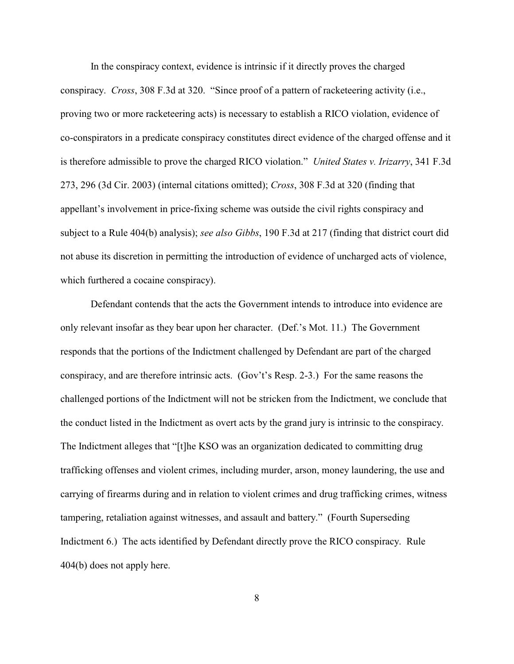In the conspiracy context, evidence is intrinsic if it directly proves the charged conspiracy. *Cross*, 308 F.3d at 320. "Since proof of a pattern of racketeering activity (i.e., proving two or more racketeering acts) is necessary to establish a RICO violation, evidence of co-conspirators in a predicate conspiracy constitutes direct evidence of the charged offense and it is therefore admissible to prove the charged RICO violation." *United States v. Irizarry*, 341 F.3d 273, 296 (3d Cir. 2003) (internal citations omitted); *Cross*, 308 F.3d at 320 (finding that appellant's involvement in price-fixing scheme was outside the civil rights conspiracy and subject to a Rule 404(b) analysis); *see also Gibbs*, 190 F.3d at 217 (finding that district court did not abuse its discretion in permitting the introduction of evidence of uncharged acts of violence, which furthered a cocaine conspiracy).

Defendant contends that the acts the Government intends to introduce into evidence are only relevant insofar as they bear upon her character. (Def.'s Mot. 11.) The Government responds that the portions of the Indictment challenged by Defendant are part of the charged conspiracy, and are therefore intrinsic acts. (Gov't's Resp. 2-3.) For the same reasons the challenged portions of the Indictment will not be stricken from the Indictment, we conclude that the conduct listed in the Indictment as overt acts by the grand jury is intrinsic to the conspiracy. The Indictment alleges that "[t]he KSO was an organization dedicated to committing drug trafficking offenses and violent crimes, including murder, arson, money laundering, the use and carrying of firearms during and in relation to violent crimes and drug trafficking crimes, witness tampering, retaliation against witnesses, and assault and battery." (Fourth Superseding Indictment 6.) The acts identified by Defendant directly prove the RICO conspiracy. Rule 404(b) does not apply here.

8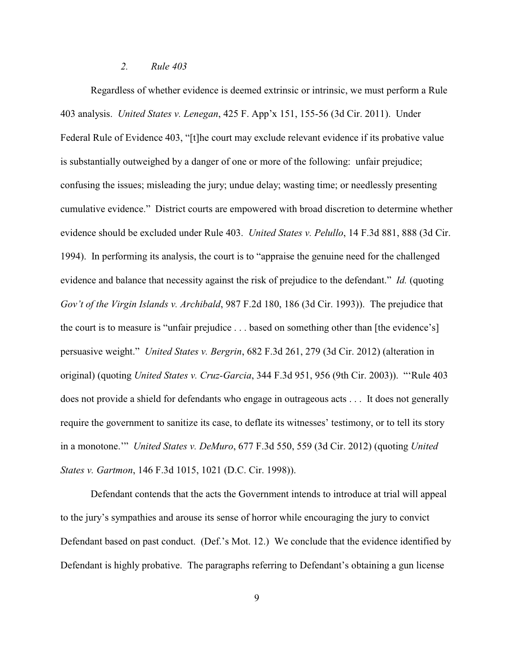#### *2. Rule 403*

Regardless of whether evidence is deemed extrinsic or intrinsic, we must perform a Rule 403 analysis. *United States v. Lenegan*, 425 F. App'x 151, 155-56 (3d Cir. 2011). Under Federal Rule of Evidence 403, "[t]he court may exclude relevant evidence if its probative value is substantially outweighed by a danger of one or more of the following: unfair prejudice; confusing the issues; misleading the jury; undue delay; wasting time; or needlessly presenting cumulative evidence." District courts are empowered with broad discretion to determine whether evidence should be excluded under Rule 403. *United States v. Pelullo*, 14 F.3d 881, 888 (3d Cir. 1994). In performing its analysis, the court is to "appraise the genuine need for the challenged evidence and balance that necessity against the risk of prejudice to the defendant." *Id.* (quoting *Gov't of the Virgin Islands v. Archibald*, 987 F.2d 180, 186 (3d Cir. 1993)). The prejudice that the court is to measure is "unfair prejudice . . . based on something other than [the evidence's] persuasive weight." *United States v. Bergrin*, 682 F.3d 261, 279 (3d Cir. 2012) (alteration in original) (quoting *United States v. Cruz-Garcia*, 344 F.3d 951, 956 (9th Cir. 2003)). "'Rule 403 does not provide a shield for defendants who engage in outrageous acts . . . It does not generally require the government to sanitize its case, to deflate its witnesses' testimony, or to tell its story in a monotone.'" *United States v. DeMuro*, 677 F.3d 550, 559 (3d Cir. 2012) (quoting *United States v. Gartmon*, 146 F.3d 1015, 1021 (D.C. Cir. 1998)).

Defendant contends that the acts the Government intends to introduce at trial will appeal to the jury's sympathies and arouse its sense of horror while encouraging the jury to convict Defendant based on past conduct. (Def.'s Mot. 12.) We conclude that the evidence identified by Defendant is highly probative. The paragraphs referring to Defendant's obtaining a gun license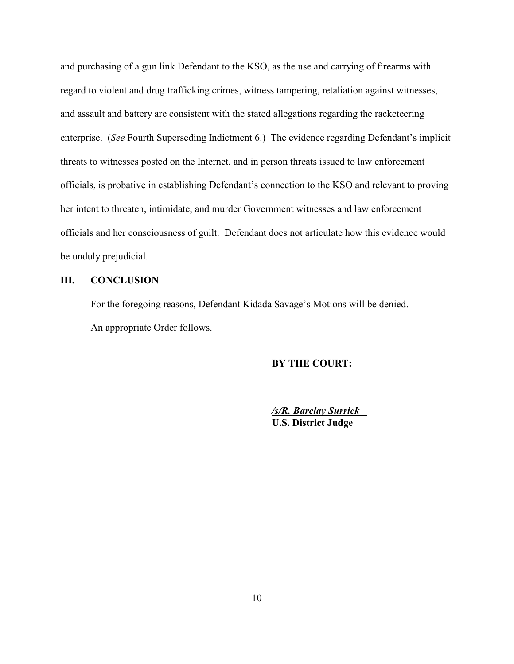and purchasing of a gun link Defendant to the KSO, as the use and carrying of firearms with regard to violent and drug trafficking crimes, witness tampering, retaliation against witnesses, and assault and battery are consistent with the stated allegations regarding the racketeering enterprise. (*See* Fourth Superseding Indictment 6.) The evidence regarding Defendant's implicit threats to witnesses posted on the Internet, and in person threats issued to law enforcement officials, is probative in establishing Defendant's connection to the KSO and relevant to proving her intent to threaten, intimidate, and murder Government witnesses and law enforcement officials and her consciousness of guilt. Defendant does not articulate how this evidence would be unduly prejudicial.

#### **III. CONCLUSION**

For the foregoing reasons, Defendant Kidada Savage's Motions will be denied. An appropriate Order follows.

# **BY THE COURT:**

*/s/R. Barclay Surrick*  **U.S. District Judge**